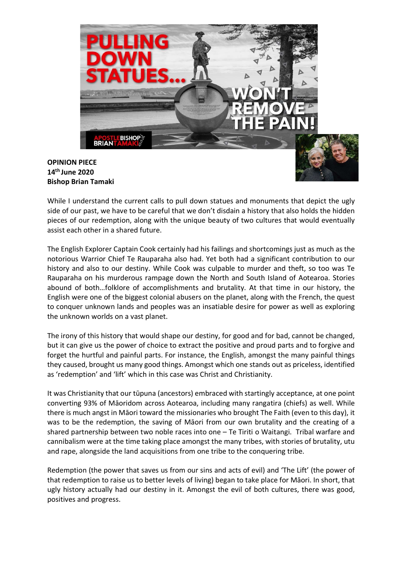

## OPINION PIECE 14th June 2020 Bishop Brian Tamaki

While I understand the current calls to pull down statues and monuments that depict the ugly side of our past, we have to be careful that we don't disdain a history that also holds the hidden pieces of our redemption, along with the unique beauty of two cultures that would eventually assist each other in a shared future.

The English Explorer Captain Cook certainly had his failings and shortcomings just as much as the notorious Warrior Chief Te Rauparaha also had. Yet both had a significant contribution to our history and also to our destiny. While Cook was culpable to murder and theft, so too was Te Rauparaha on his murderous rampage down the North and South Island of Aotearoa. Stories abound of both…folklore of accomplishments and brutality. At that time in our history, the English were one of the biggest colonial abusers on the planet, along with the French, the quest to conquer unknown lands and peoples was an insatiable desire for power as well as exploring the unknown worlds on a vast planet.

The irony of this history that would shape our destiny, for good and for bad, cannot be changed, but it can give us the power of choice to extract the positive and proud parts and to forgive and forget the hurtful and painful parts. For instance, the English, amongst the many painful things they caused, brought us many good things. Amongst which one stands out as priceless, identified as 'redemption' and 'lift' which in this case was Christ and Christianity.

It was Christianity that our tūpuna (ancestors) embraced with startingly acceptance, at one point converting 93% of Māoridom across Aotearoa, including many rangatira (chiefs) as well. While there is much angst in Māori toward the missionaries who brought The Faith (even to this day), it was to be the redemption, the saving of Māori from our own brutality and the creating of a shared partnership between two noble races into one – Te Tiriti o Waitangi. Tribal warfare and cannibalism were at the time taking place amongst the many tribes, with stories of brutality, utu and rape, alongside the land acquisitions from one tribe to the conquering tribe.

Redemption (the power that saves us from our sins and acts of evil) and 'The Lift' (the power of that redemption to raise us to better levels of living) began to take place for Māori. In short, that ugly history actually had our destiny in it. Amongst the evil of both cultures, there was good, positives and progress.